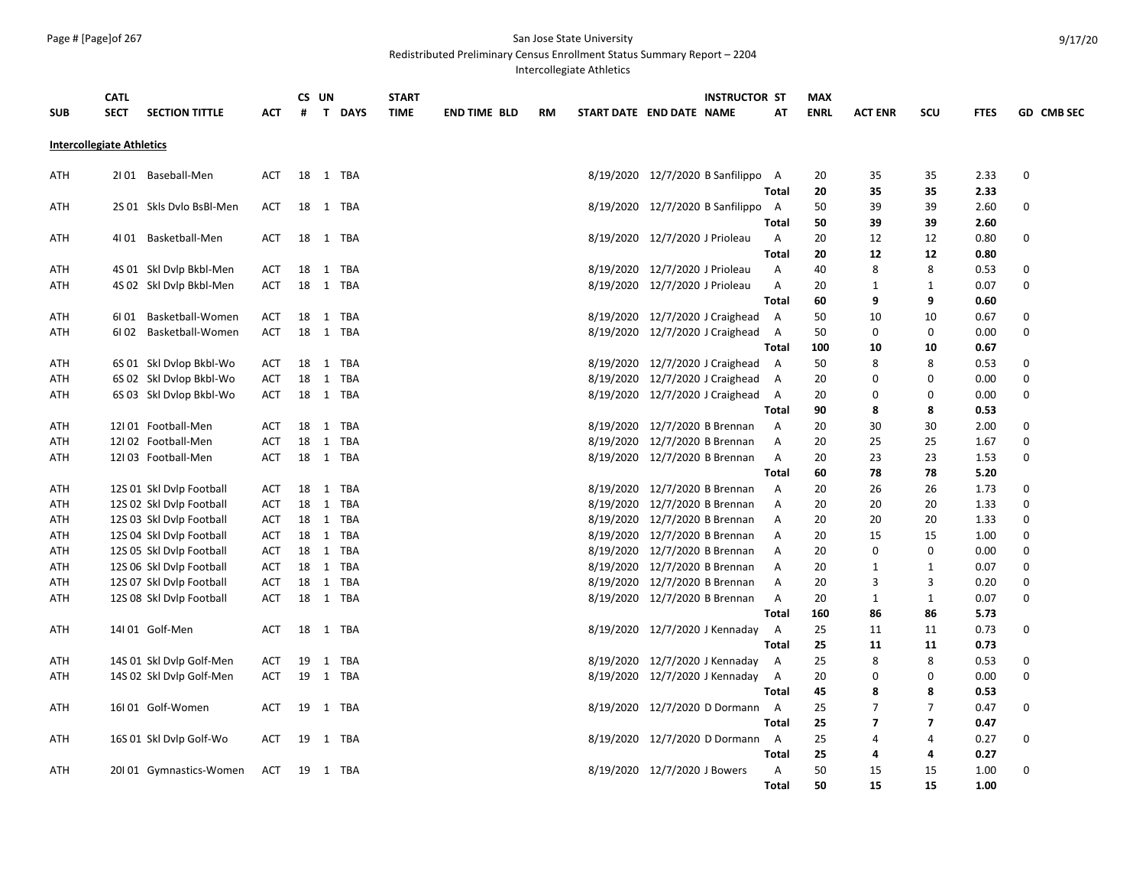Redistributed Preliminary Census Enrollment Status Summary Report – 2204

Intercollegiate Athletics

|            | <b>CATL</b>                          |            |    | CS UN |          | <b>START</b> |                     |           |                                | <b>INSTRUCTOR ST</b>               |                | <b>MAX</b>  |                |                         |             |                   |
|------------|--------------------------------------|------------|----|-------|----------|--------------|---------------------|-----------|--------------------------------|------------------------------------|----------------|-------------|----------------|-------------------------|-------------|-------------------|
| <b>SUB</b> | <b>SECT</b><br><b>SECTION TITTLE</b> | ACT        | #  |       | T DAYS   | <b>TIME</b>  | <b>END TIME BLD</b> | <b>RM</b> | START DATE END DATE NAME       |                                    | AT             | <b>ENRL</b> | <b>ACT ENR</b> | SCU                     | <b>FTES</b> | <b>GD CMB SEC</b> |
|            | <b>Intercollegiate Athletics</b>     |            |    |       |          |              |                     |           |                                |                                    |                |             |                |                         |             |                   |
| ATH        | 2101 Baseball-Men                    | ACT        |    |       | 18 1 TBA |              |                     |           |                                | 8/19/2020 12/7/2020 B Sanfilippo A |                | 20          | 35             | 35                      | 2.33        | 0                 |
|            |                                      |            |    |       |          |              |                     |           |                                |                                    | Total          | 20          | 35             | 35                      | 2.33        |                   |
| <b>ATH</b> | 2S 01 Skls Dvlo BsBl-Men             | ACT        | 18 |       | 1 TBA    |              |                     |           |                                | 8/19/2020 12/7/2020 B Sanfilippo   | A              | 50          | 39             | 39                      | 2.60        | 0                 |
|            |                                      |            |    |       |          |              |                     |           |                                |                                    | Total          | 50          | 39             | 39                      | 2.60        |                   |
| ATH        | 4101 Basketball-Men                  | ACT        | 18 |       | 1 TBA    |              |                     |           | 8/19/2020 12/7/2020 J Prioleau |                                    | Α              | 20          | 12             | 12                      | 0.80        | 0                 |
|            |                                      |            |    |       |          |              |                     |           |                                |                                    | <b>Total</b>   | 20          | 12             | 12                      | 0.80        |                   |
| ATH        | 4S 01 Skl Dvlp Bkbl-Men              | <b>ACT</b> | 18 |       | 1 TBA    |              |                     |           | 8/19/2020 12/7/2020 J Prioleau |                                    | A              | 40          | 8              | 8                       | 0.53        | 0                 |
| ATH        | 4S 02 Skl Dvlp Bkbl-Men              | ACT        | 18 |       | 1 TBA    |              |                     |           | 8/19/2020 12/7/2020 J Prioleau |                                    | Α              | 20          | 1              | 1                       | 0.07        | 0                 |
|            |                                      |            |    |       |          |              |                     |           |                                |                                    | Total          | 60          | 9              | 9                       | 0.60        |                   |
| ATH        | Basketball-Women<br>6101             | ACT        | 18 |       | 1 TBA    |              |                     |           |                                | 8/19/2020 12/7/2020 J Craighead    | <b>A</b>       | 50          | 10             | 10                      | 0.67        | 0                 |
| ATH        | Basketball-Women<br>6I 02            | ACT        | 18 |       | 1 TBA    |              |                     |           |                                | 8/19/2020 12/7/2020 J Craighead    | A              | 50          | 0              | 0                       | 0.00        | 0                 |
|            |                                      |            |    |       |          |              |                     |           |                                |                                    | Total          | 100         | 10             | 10                      | 0.67        |                   |
| ATH        | 6S 01 Skl Dvlop Bkbl-Wo              | ACT        |    |       | 18 1 TBA |              |                     |           |                                | 8/19/2020 12/7/2020 J Craighead    | <b>A</b>       | 50          | 8              | 8                       | 0.53        | 0                 |
| ATH        | 6S 02 Skl Dvlop Bkbl-Wo              | ACT        | 18 |       | 1 TBA    |              |                     |           |                                | 8/19/2020 12/7/2020 J Craighead    | A              | 20          | 0              | 0                       | 0.00        | 0                 |
| ATH        | 6S 03 Skl Dvlop Bkbl-Wo              | <b>ACT</b> | 18 |       | 1 TBA    |              |                     |           |                                | 8/19/2020 12/7/2020 J Craighead    | A              | 20          | 0              | 0                       | 0.00        | 0                 |
|            |                                      |            |    |       |          |              |                     |           |                                |                                    | <b>Total</b>   | 90          | 8              | 8                       | 0.53        |                   |
| ATH        | 12101 Football-Men                   | ACT        | 18 |       | 1 TBA    |              |                     |           | 8/19/2020 12/7/2020 B Brennan  |                                    | A              | 20          | 30             | 30                      | 2.00        | 0                 |
| ATH        | 12102 Football-Men                   | ACT        | 18 |       | 1 TBA    |              |                     |           | 8/19/2020 12/7/2020 B Brennan  |                                    | Α              | 20          | 25             | 25                      | 1.67        | 0                 |
| ATH        | 12I 03 Football-Men                  | ACT        |    |       | 18 1 TBA |              |                     |           | 8/19/2020 12/7/2020 B Brennan  |                                    | A              | 20          | 23             | 23                      | 1.53        | 0                 |
|            |                                      |            |    |       |          |              |                     |           |                                |                                    | Total          | 60          | 78             | 78                      | 5.20        |                   |
| ATH        | 12S 01 Skl Dvlp Football             | ACT        | 18 |       | 1 TBA    |              |                     |           | 8/19/2020 12/7/2020 B Brennan  |                                    | A              | 20          | 26             | 26                      | 1.73        | 0                 |
| ATH        | 12S 02 Skl Dvlp Football             | <b>ACT</b> | 18 |       | 1 TBA    |              |                     |           | 8/19/2020 12/7/2020 B Brennan  |                                    | Α              | 20          | 20             | 20                      | 1.33        | $\Omega$          |
| ATH        | 12S 03 Skl Dvlp Football             | <b>ACT</b> |    |       | 18 1 TBA |              |                     |           | 8/19/2020 12/7/2020 B Brennan  |                                    | A              | 20          | 20             | 20                      | 1.33        | 0                 |
| ATH        | 12S 04 Skl Dvlp Football             | ACT        | 18 |       | 1 TBA    |              |                     |           | 8/19/2020 12/7/2020 B Brennan  |                                    | A              | 20          | 15             | 15                      | 1.00        | 0                 |
| ATH        | 12S 05 Skl Dvlp Football             | ACT        | 18 |       | 1 TBA    |              |                     |           | 8/19/2020 12/7/2020 B Brennan  |                                    | A              | 20          | 0              | $\mathbf 0$             | 0.00        | 0                 |
| ATH        | 12S 06 Skl Dvlp Football             | <b>ACT</b> | 18 |       | 1 TBA    |              |                     |           | 8/19/2020 12/7/2020 B Brennan  |                                    | Α              | 20          | 1              | $\mathbf{1}$            | 0.07        | 0                 |
| ATH        | 12S 07 Skl Dvlp Football             | ACT        | 18 |       | 1 TBA    |              |                     |           | 8/19/2020 12/7/2020 B Brennan  |                                    | Α              | 20          | 3              | 3                       | 0.20        | 0                 |
| ATH        | 12S 08 Skl Dvlp Football             | <b>ACT</b> | 18 |       | 1 TBA    |              |                     |           | 8/19/2020 12/7/2020 B Brennan  |                                    | Α              | 20          | $\mathbf{1}$   | $\mathbf{1}$            | 0.07        | 0                 |
|            |                                      |            |    |       |          |              |                     |           |                                |                                    | Total          | 160         | 86             | 86                      | 5.73        |                   |
| ATH        | 14I 01 Golf-Men                      | ACT        | 18 |       | 1 TBA    |              |                     |           |                                | 8/19/2020 12/7/2020 J Kennaday     | A              | 25          | 11             | 11                      | 0.73        | 0                 |
|            |                                      |            |    |       |          |              |                     |           |                                |                                    | <b>Total</b>   | 25          | 11             | 11                      | 0.73        |                   |
| ATH        | 14S 01 Skl Dvlp Golf-Men             | <b>ACT</b> | 19 |       | 1 TBA    |              |                     |           |                                | 8/19/2020 12/7/2020 J Kennaday     | $\overline{A}$ | 25          | 8              | 8                       | 0.53        | 0                 |
| ATH        | 14S 02 Skl Dvlp Golf-Men             | ACT        |    |       | 19 1 TBA |              |                     |           |                                | 8/19/2020 12/7/2020 J Kennaday     | A              | 20          | 0              | 0                       | 0.00        | 0                 |
|            |                                      |            |    |       |          |              |                     |           |                                |                                    | Total          | 45          | 8              | 8                       | 0.53        |                   |
| ATH        | 16I 01 Golf-Women                    | ACT        | 19 |       | 1 TBA    |              |                     |           |                                | 8/19/2020 12/7/2020 D Dormann      | A              | 25          | $\overline{7}$ | $\overline{7}$          | 0.47        | 0                 |
|            |                                      |            |    |       |          |              |                     |           |                                |                                    | <b>Total</b>   | 25          | 7              | $\overline{\mathbf{z}}$ | 0.47        |                   |
| ATH        | 16S 01 Skl Dvlp Golf-Wo              | ACT        | 19 |       | 1 TBA    |              |                     |           |                                | 8/19/2020 12/7/2020 D Dormann      | A              | 25          | 4              | 4                       | 0.27        | 0                 |
|            |                                      |            |    |       |          |              |                     |           |                                |                                    | <b>Total</b>   | 25          | 4              | 4                       | 0.27        |                   |
| ATH        | 20101 Gymnastics-Women               | ACT        |    |       | 19 1 TBA |              |                     |           | 8/19/2020 12/7/2020 J Bowers   |                                    | Α              | 50          | 15             | 15                      | 1.00        | 0                 |
|            |                                      |            |    |       |          |              |                     |           |                                |                                    | Total          | 50          | 15             | 15                      | 1.00        |                   |

9/17/20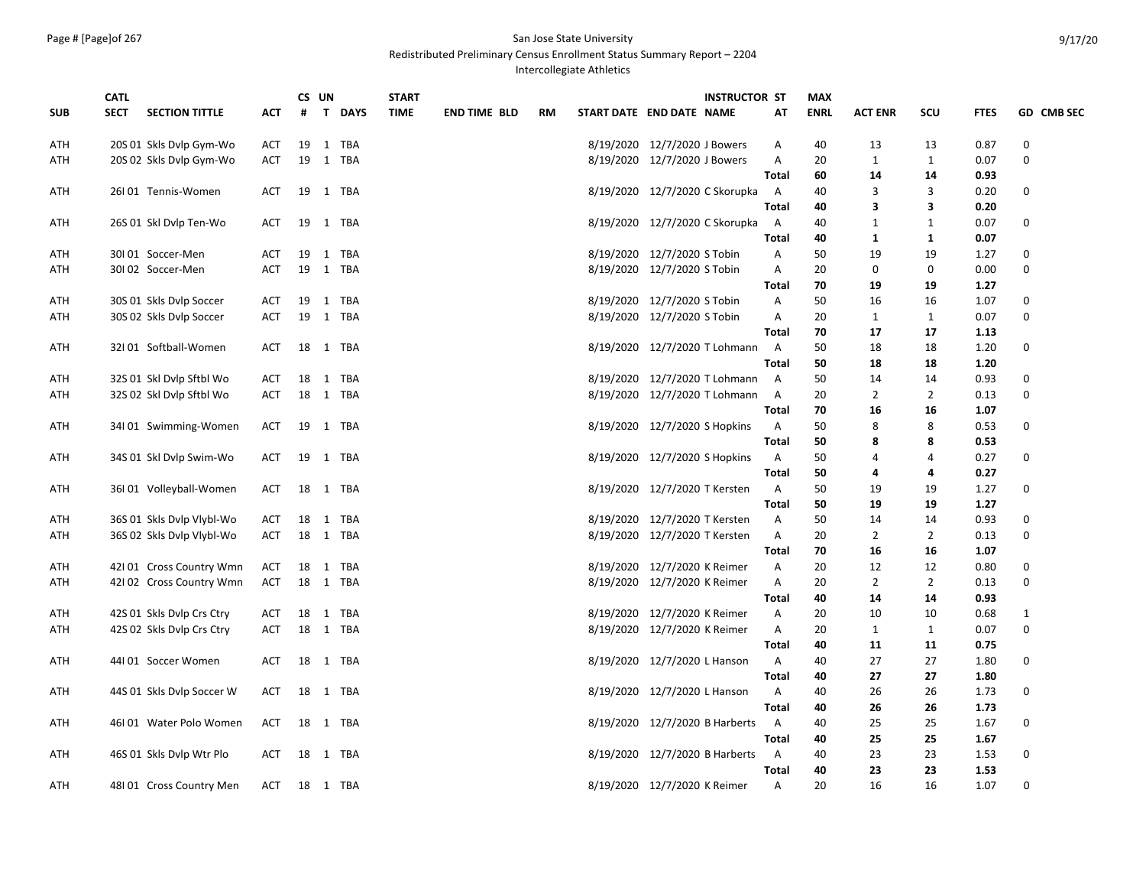Redistributed Preliminary Census Enrollment Status Summary Report – 2204

Intercollegiate Athletics

|            |                                      |            | CS UN |              | <b>START</b>      |             |                     | <b>INSTRUCTOR ST</b> |                                                              | <b>MAX</b>     |             |                   |                    |              |                   |
|------------|--------------------------------------|------------|-------|--------------|-------------------|-------------|---------------------|----------------------|--------------------------------------------------------------|----------------|-------------|-------------------|--------------------|--------------|-------------------|
| <b>SUB</b> | <b>SECTION TITTLE</b><br><b>SECT</b> | ACT        | #     | T.           | <b>DAYS</b>       | <b>TIME</b> | <b>END TIME BLD</b> | RM                   | START DATE END DATE NAME                                     | AT             | <b>ENRL</b> | <b>ACT ENR</b>    | SCU                | <b>FTES</b>  | GD CMB SEC        |
| ATH        | 20S 01 Skls Dvlp Gym-Wo              | ACT        | 19    |              | 1 TBA             |             |                     |                      | 8/19/2020 12/7/2020 J Bowers                                 | Α              | 40          | 13                | 13                 | 0.87         | 0                 |
| ATH        | 20S 02 Skls Dvlp Gym-Wo              | ACT        | 19    |              | 1 TBA             |             |                     |                      | 8/19/2020 12/7/2020 J Bowers                                 | Α              | 20          | 1                 | 1                  | 0.07         | 0                 |
|            |                                      |            |       |              |                   |             |                     |                      |                                                              | Total          | 60          | 14                | 14                 | 0.93         |                   |
| ATH        | 26101 Tennis-Women                   | <b>ACT</b> | 19    |              | 1 TBA             |             |                     |                      | 8/19/2020 12/7/2020 C Skorupka                               | A              | 40          | 3                 | 3                  | 0.20         | 0                 |
|            |                                      |            |       |              |                   |             |                     |                      |                                                              | <b>Total</b>   | 40          | 3                 | 3                  | 0.20         |                   |
| ATH        | 26S 01 Skl Dvlp Ten-Wo               | ACT        | 19    |              | 1 TBA             |             |                     |                      | 8/19/2020 12/7/2020 C Skorupka                               | A              | 40          | 1                 | 1                  | 0.07         | 0                 |
|            |                                      |            |       |              |                   |             |                     |                      |                                                              | Total          | 40          | 1                 | $\mathbf{1}$       | 0.07         |                   |
| ATH        | 30101 Soccer-Men                     | ACT        | 19    |              | 1 TBA             |             |                     |                      | 8/19/2020 12/7/2020 S Tobin                                  | Α              | 50          | 19                | 19                 | 1.27         | 0                 |
| ATH        | 30I 02 Soccer-Men                    | <b>ACT</b> | 19    |              | 1 TBA             |             |                     |                      | 8/19/2020 12/7/2020 S Tobin                                  | Α              | 20          | 0                 | 0                  | 0.00         | 0                 |
|            |                                      |            |       |              |                   |             |                     |                      |                                                              | Total          | 70          | 19                | 19                 | 1.27         |                   |
| ATH        | 30S 01 Skls Dvlp Soccer              | <b>ACT</b> | 19    |              | 1 TBA             |             |                     |                      | 8/19/2020 12/7/2020 S Tobin                                  | Α              | 50          | 16                | 16                 | 1.07         | 0                 |
| ATH        | 30S 02 Skls Dvlp Soccer              | ACT        | 19    |              | 1 TBA             |             |                     |                      | 8/19/2020 12/7/2020 S Tobin                                  | Α              | 20          | 1                 | 1                  | 0.07         | 0                 |
|            |                                      |            |       |              |                   |             |                     |                      |                                                              | Total          | 70          | 17                | 17                 | 1.13         |                   |
| ATH        | 32I 01 Softball-Women                | ACT        |       |              | 18 1 TBA          |             |                     |                      | 8/19/2020 12/7/2020 T Lohmann                                | $\overline{A}$ | 50          | 18                | 18                 | 1.20         | 0                 |
|            |                                      |            |       |              |                   |             |                     |                      |                                                              | Total          | 50          | 18                | 18                 | 1.20         |                   |
| ATH        | 32S 01 Skl Dvlp Sftbl Wo             | ACT        | 18    | 1            | TBA               |             |                     |                      | 8/19/2020 12/7/2020 T Lohmann                                | A              | 50          | 14                | 14                 | 0.93         | 0                 |
| ATH        | 32S 02 Skl Dvlp Sftbl Wo             | <b>ACT</b> |       |              | 18 1 TBA          |             |                     |                      | 8/19/2020 12/7/2020 T Lohmann                                | $\overline{A}$ | 20          | $\overline{2}$    | $\overline{2}$     | 0.13         | 0                 |
|            |                                      |            |       |              |                   |             |                     |                      |                                                              | Total          | 70          | 16                | 16                 | 1.07         |                   |
| ATH        | 34101 Swimming-Women                 | ACT        | 19    |              | 1 TBA             |             |                     |                      | 8/19/2020 12/7/2020 S Hopkins                                | Α              | 50          | 8                 | 8                  | 0.53         | 0                 |
|            |                                      |            |       |              |                   |             |                     |                      |                                                              | <b>Total</b>   | 50          | 8                 | 8                  | 0.53         |                   |
| ATH        | 34S 01 Skl Dvlp Swim-Wo              | ACT        | 19    |              | 1 TBA             |             |                     |                      | 8/19/2020 12/7/2020 S Hopkins                                | A              | 50          | $\overline{4}$    | $\overline{a}$     | 0.27         | $\mathbf 0$       |
|            |                                      |            |       |              |                   |             |                     |                      |                                                              | <b>Total</b>   | 50          | 4                 | 4                  | 0.27         |                   |
| ATH        | 36101 Volleyball-Women               | ACT        |       |              | 18 1 TBA          |             |                     |                      | 8/19/2020 12/7/2020 T Kersten                                | Α              | 50          | 19                | 19                 | 1.27         | 0                 |
|            |                                      |            |       |              |                   |             |                     |                      |                                                              | <b>Total</b>   | 50          | 19                | 19                 | 1.27         |                   |
| ATH        | 36S 01 Skls Dvlp Vlybl-Wo            | ACT        | 18    | $\mathbf{1}$ | TBA               |             |                     |                      | 8/19/2020 12/7/2020 T Kersten                                | Α              | 50          | 14                | 14                 | 0.93         | 0                 |
| ATH        | 36S 02 Skls Dvlp Vlybl-Wo            | ACT        |       |              | 18 1 TBA          |             |                     |                      | 8/19/2020 12/7/2020 T Kersten                                | Α              | 20          | $\overline{2}$    | 2                  | 0.13         | 0                 |
|            |                                      |            |       |              |                   |             |                     |                      |                                                              | Total          | 70          | 16                | 16                 | 1.07         |                   |
| ATH        | 42101 Cross Country Wmn              | ACT        | 18    |              | 1 TBA             |             |                     |                      | 8/19/2020 12/7/2020 K Reimer                                 | Α              | 20          | 12                | 12                 | 0.80         | 0                 |
| ATH        | 42102 Cross Country Wmn              | ACT        |       |              | 18 1 TBA          |             |                     |                      | 8/19/2020 12/7/2020 K Reimer                                 | Α              | 20          | $\overline{2}$    | $\overline{2}$     | 0.13         | 0                 |
|            |                                      |            |       |              |                   |             |                     |                      |                                                              | <b>Total</b>   | 40<br>20    | 14                | 14                 | 0.93         |                   |
| ATH        | 42S 01 Skls Dvlp Crs Ctry            | ACT        | 18    |              | 1 TBA<br>18 1 TBA |             |                     |                      | 8/19/2020 12/7/2020 K Reimer<br>8/19/2020 12/7/2020 K Reimer | Α<br>A         | 20          | 10<br>$\mathbf 1$ | 10<br>$\mathbf{1}$ | 0.68<br>0.07 | $\mathbf{1}$<br>0 |
| ATH        | 42S 02 Skls Dvlp Crs Ctry            | ACT        |       |              |                   |             |                     |                      |                                                              | Total          | 40          | 11                | 11                 | 0.75         |                   |
| ATH        | 44101 Soccer Women                   | ACT        | 18    |              | 1 TBA             |             |                     |                      | 8/19/2020 12/7/2020 L Hanson                                 | Α              | 40          | 27                | 27                 | 1.80         | 0                 |
|            |                                      |            |       |              |                   |             |                     |                      |                                                              | <b>Total</b>   | 40          | 27                | 27                 | 1.80         |                   |
| ATH        | 44S 01 Skls Dylp Soccer W            | ACT        | 18    | 1            | TBA               |             |                     |                      | 8/19/2020 12/7/2020 L Hanson                                 | Α              | 40          | 26                | 26                 | 1.73         | 0                 |
|            |                                      |            |       |              |                   |             |                     |                      |                                                              | Total          | 40          | 26                | 26                 | 1.73         |                   |
| ATH        | 46101 Water Polo Women               | <b>ACT</b> |       |              | 18 1 TBA          |             |                     |                      | 8/19/2020 12/7/2020 B Harberts                               | $\overline{A}$ | 40          | 25                | 25                 | 1.67         | 0                 |
|            |                                      |            |       |              |                   |             |                     |                      |                                                              | Total          | 40          | 25                | 25                 | 1.67         |                   |
| ATH        | 46S 01 Skls Dvlp Wtr Plo             | ACT        |       |              | 18 1 TBA          |             |                     |                      | 8/19/2020 12/7/2020 B Harberts                               | A              | 40          | 23                | 23                 | 1.53         | 0                 |
|            |                                      |            |       |              |                   |             |                     |                      |                                                              | Total          | 40          | 23                | 23                 | 1.53         |                   |
| ATH        | 48101 Cross Country Men              | ACT        |       |              | 18 1 TBA          |             |                     |                      | 8/19/2020 12/7/2020 K Reimer                                 | Α              | 20          | 16                | 16                 | 1.07         | 0                 |
|            |                                      |            |       |              |                   |             |                     |                      |                                                              |                |             |                   |                    |              |                   |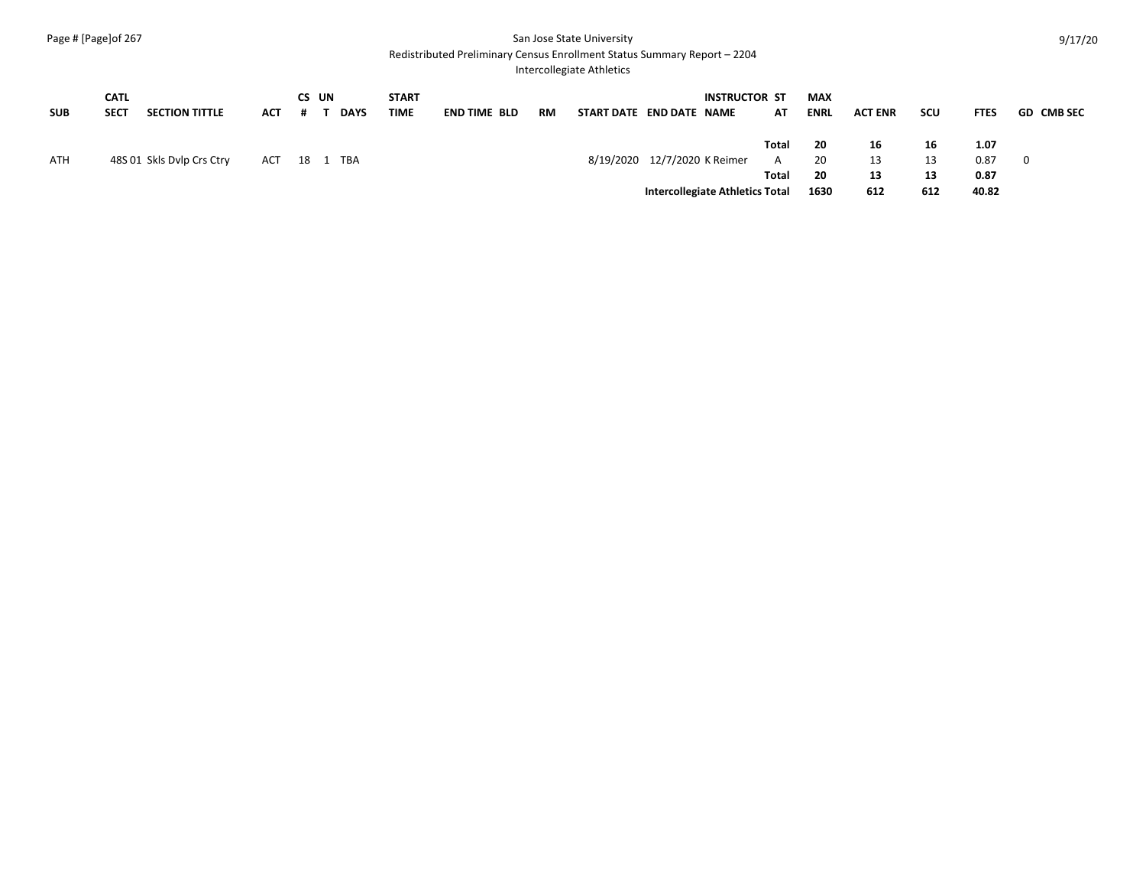Redistributed Preliminary Census Enrollment Status Summary Report – 2204

Intercollegiate Athletics

|            | CATL        |                           |            | CS UN    |             | START |                     |                                 |                              |  | <b>INSTRUCTOR ST</b> |       | MAX         |                |     |             |                   |
|------------|-------------|---------------------------|------------|----------|-------------|-------|---------------------|---------------------------------|------------------------------|--|----------------------|-------|-------------|----------------|-----|-------------|-------------------|
| <b>SUB</b> | <b>SECT</b> | <b>SECTION TITTLE</b>     | <b>ACT</b> |          | <b>DAYS</b> | TIME  | <b>END TIME BLD</b> | RM                              | START DATE END DATE NAME     |  |                      | AT    | <b>ENRL</b> | <b>ACT ENR</b> | scu | <b>FTES</b> | <b>GD CMB SEC</b> |
|            |             |                           |            |          |             |       |                     |                                 |                              |  |                      | Total | 20          | 16             | 16  | 1.07        |                   |
| ATH        |             | 48S 01 Skls Dylp Crs Ctry | ACT        | 18 1 TBA |             |       |                     |                                 | 8/19/2020 12/7/2020 K Reimer |  |                      | A     | 20          | 13             | 13  | 0.87        | 0                 |
|            |             |                           |            |          |             |       |                     |                                 |                              |  |                      | Total | 20          | 13             | 13  | 0.87        |                   |
|            |             |                           |            |          |             |       |                     | Intercollegiate Athletics Total |                              |  |                      |       | 1630        | 612            | 612 | 40.82       |                   |